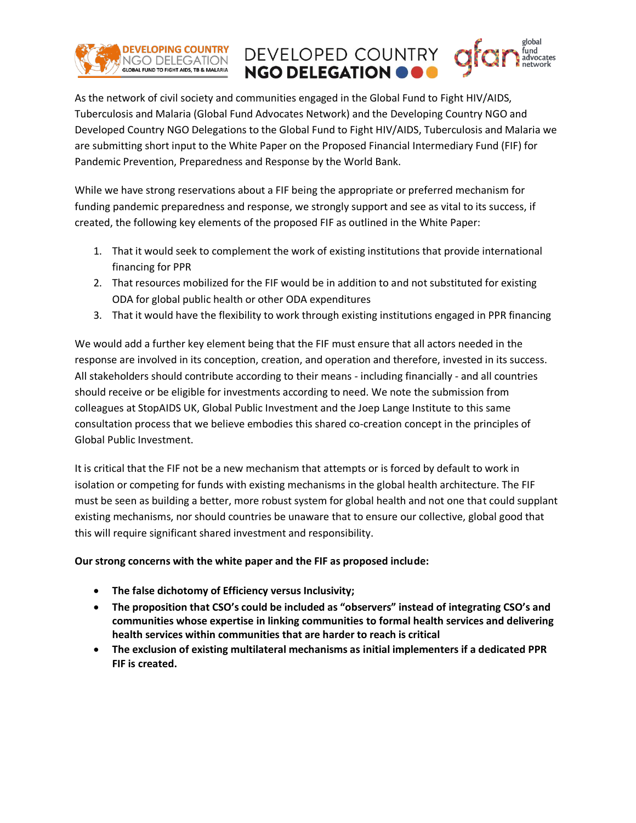

As the network of civil society and communities engaged in the Global Fund to Fight HIV/AIDS, Tuberculosis and Malaria (Global Fund Advocates Network) and the Developing Country NGO and Developed Country NGO Delegations to the Global Fund to Fight HIV/AIDS, Tuberculosis and Malaria we are submitting short input to the White Paper on the Proposed Financial Intermediary Fund (FIF) for Pandemic Prevention, Preparedness and Response by the World Bank.

**NGO DELEGATION** 

DEVELOPED COUNTRY

While we have strong reservations about a FIF being the appropriate or preferred mechanism for funding pandemic preparedness and response, we strongly support and see as vital to its success, if created, the following key elements of the proposed FIF as outlined in the White Paper:

- 1. That it would seek to complement the work of existing institutions that provide international financing for PPR
- 2. That resources mobilized for the FIF would be in addition to and not substituted for existing ODA for global public health or other ODA expenditures
- 3. That it would have the flexibility to work through existing institutions engaged in PPR financing

We would add a further key element being that the FIF must ensure that all actors needed in the response are involved in its conception, creation, and operation and therefore, invested in its success. All stakeholders should contribute according to their means - including financially - and all countries should receive or be eligible for investments according to need. We note the submission from colleagues at StopAIDS UK, Global Public Investment and the Joep Lange Institute to this same consultation process that we believe embodies this shared co-creation concept in the principles of Global Public Investment.

It is critical that the FIF not be a new mechanism that attempts or is forced by default to work in isolation or competing for funds with existing mechanisms in the global health architecture. The FIF must be seen as building a better, more robust system for global health and not one that could supplant existing mechanisms, nor should countries be unaware that to ensure our collective, global good that this will require significant shared investment and responsibility.

## **Our strong concerns with the white paper and the FIF as proposed include:**

- **The false dichotomy of Efficiency versus Inclusivity;**
- **The proposition that CSO's could be included as "observers" instead of integrating CSO's and communities whose expertise in linking communities to formal health services and delivering health services within communities that are harder to reach is critical**
- **The exclusion of existing multilateral mechanisms as initial implementers if a dedicated PPR FIF is created.**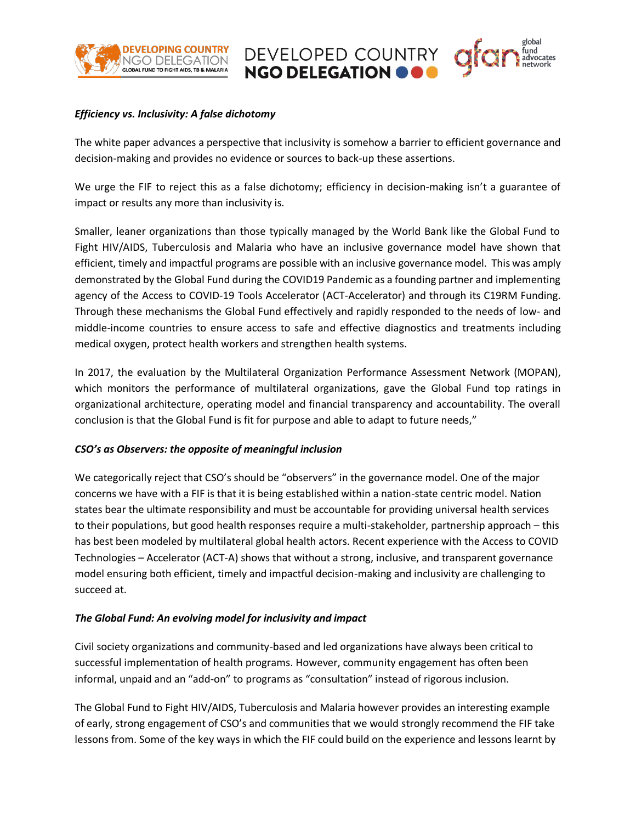

## *Efficiency vs. Inclusivity: A false dichotomy*

The white paper advances a perspective that inclusivity is somehow a barrier to efficient governance and decision-making and provides no evidence or sources to back-up these assertions.

DEVELOPED COUNTRY<br>NGO DELEGATION OOO

We urge the FIF to reject this as a false dichotomy; efficiency in decision-making isn't a guarantee of impact or results any more than inclusivity is.

Smaller, leaner organizations than those typically managed by the World Bank like the Global Fund to Fight HIV/AIDS, Tuberculosis and Malaria who have an inclusive governance model have shown that efficient, timely and impactful programs are possible with an inclusive governance model. This was amply demonstrated by the Global Fund during the COVID19 Pandemic as a founding partner and implementing agency of the Access to COVID-19 Tools Accelerator (ACT-Accelerator) and through its C19RM Funding. Through these mechanisms the Global Fund effectively and rapidly responded to the needs of low- and middle-income countries to ensure access to safe and effective diagnostics and treatments including medical oxygen, protect health workers and strengthen health systems.

In 2017, the evaluation by the Multilateral Organization Performance Assessment Network (MOPAN), which monitors the performance of multilateral organizations, gave the Global Fund top ratings in organizational architecture, operating model and financial transparency and accountability. The overall conclusion is that the Global Fund is fit for purpose and able to adapt to future needs,"

## *CSO's as Observers: the opposite of meaningful inclusion*

We categorically reject that CSO's should be "observers" in the governance model. One of the major concerns we have with a FIF is that it is being established within a nation-state centric model. Nation states bear the ultimate responsibility and must be accountable for providing universal health services to their populations, but good health responses require a multi-stakeholder, partnership approach – this has best been modeled by multilateral global health actors. Recent experience with the Access to COVID Technologies – Accelerator (ACT-A) shows that without a strong, inclusive, and transparent governance model ensuring both efficient, timely and impactful decision-making and inclusivity are challenging to succeed at.

## *The Global Fund: An evolving model for inclusivity and impact*

Civil society organizations and community-based and led organizations have always been critical to successful implementation of health programs. However, community engagement has often been informal, unpaid and an "add-on" to programs as "consultation" instead of rigorous inclusion.

The Global Fund to Fight HIV/AIDS, Tuberculosis and Malaria however provides an interesting example of early, strong engagement of CSO's and communities that we would strongly recommend the FIF take lessons from. Some of the key ways in which the FIF could build on the experience and lessons learnt by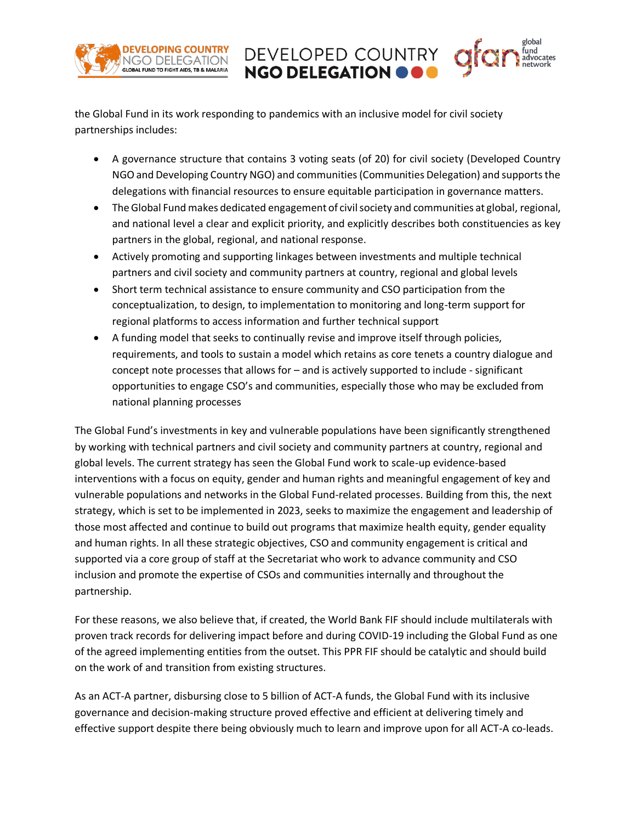

the Global Fund in its work responding to pandemics with an inclusive model for civil society partnerships includes:

• A governance structure that contains 3 voting seats (of 20) for civil society (Developed Country NGO and Developing Country NGO) and communities (Communities Delegation) and supports the delegations with financial resources to ensure equitable participation in governance matters.

DEVELOPED COUNTRY<br>NGO DELEGATION OOO

- The Global Fund makes dedicated engagement of civil society and communities at global, regional, and national level a clear and explicit priority, and explicitly describes both constituencies as key partners in the global, regional, and national response.
- Actively promoting and supporting linkages between investments and multiple technical partners and civil society and community partners at country, regional and global levels
- Short term technical assistance to ensure community and CSO participation from the conceptualization, to design, to implementation to monitoring and long-term support for regional platforms to access information and further technical support
- A funding model that seeks to continually revise and improve itself through policies, requirements, and tools to sustain a model which retains as core tenets a country dialogue and concept note processes that allows for – and is actively supported to include - significant opportunities to engage CSO's and communities, especially those who may be excluded from national planning processes

The Global Fund's investments in key and vulnerable populations have been significantly strengthened by working with technical partners and civil society and community partners at country, regional and global levels. The current strategy has seen the Global Fund work to scale-up evidence-based interventions with a focus on equity, gender and human rights and meaningful engagement of key and vulnerable populations and networks in the Global Fund-related processes. Building from this, the next strategy, which is set to be implemented in 2023, seeks to maximize the engagement and leadership of those most affected and continue to build out programs that maximize health equity, gender equality and human rights. In all these strategic objectives, CSO and community engagement is critical and supported via a core group of staff at the Secretariat who work to advance community and CSO inclusion and promote the expertise of CSOs and communities internally and throughout the partnership.

For these reasons, we also believe that, if created, the World Bank FIF should include multilaterals with proven track records for delivering impact before and during COVID-19 including the Global Fund as one of the agreed implementing entities from the outset. This PPR FIF should be catalytic and should build on the work of and transition from existing structures.

As an ACT-A partner, disbursing close to 5 billion of ACT-A funds, the Global Fund with its inclusive governance and decision-making structure proved effective and efficient at delivering timely and effective support despite there being obviously much to learn and improve upon for all ACT-A co-leads.